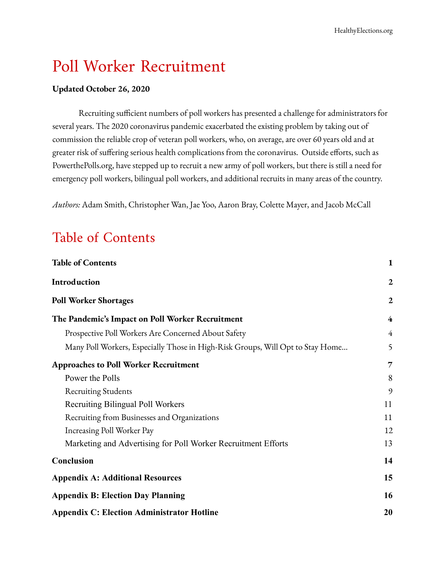# Poll Worker Recruitment

#### **Updated October 26, 2020**

Recruiting sufficient numbers of poll workers has presented a challenge for administrators for several years. The 2020 coronavirus pandemic exacerbated the existing problem by taking out of commission the reliable crop of veteran poll workers, who, on average, are over 60 years old and at greater risk of suffering serious health complications from the coronavirus. Outside efforts, such as PowerthePolls.org, have stepped up to recruit a new army of poll workers, but there is still a need for emergency poll workers, bilingual poll workers, and additional recruits in many areas of the country.

*Authors:* Adam Smith, Christopher Wan, Jae Yoo, Aaron Bray, Colette Mayer, and Jacob McCall

# <span id="page-0-0"></span>Table of Contents

| <b>Table of Contents</b>                                                       | 1              |
|--------------------------------------------------------------------------------|----------------|
| Introduction                                                                   | 2              |
| Poll Worker Shortages                                                          | $\overline{2}$ |
| The Pandemic's Impact on Poll Worker Recruitment                               | 4              |
| Prospective Poll Workers Are Concerned About Safety                            | $\overline{4}$ |
| Many Poll Workers, Especially Those in High-Risk Groups, Will Opt to Stay Home | 5              |
| <b>Approaches to Poll Worker Recruitment</b>                                   | 7              |
| Power the Polls                                                                | 8              |
| <b>Recruiting Students</b>                                                     | 9              |
| Recruiting Bilingual Poll Workers                                              | 11             |
| Recruiting from Businesses and Organizations                                   | 11             |
| Increasing Poll Worker Pay                                                     | 12             |
| Marketing and Advertising for Poll Worker Recruitment Efforts                  | 13             |
| Conclusion                                                                     | 14             |
| <b>Appendix A: Additional Resources</b>                                        | 15             |
| <b>Appendix B: Election Day Planning</b>                                       | 16             |
| <b>Appendix C: Election Administrator Hotline</b>                              | 20             |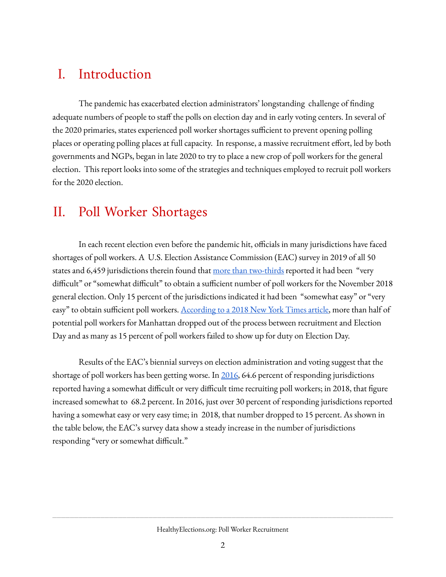## <span id="page-1-0"></span>I. Introduction

The pandemic has exacerbated election administrators' longstanding challenge of finding adequate numbers of people to staff the polls on election day and in early voting centers. In several of the 2020 primaries, states experienced poll worker shortages sufficient to prevent opening polling places or operating polling places at full capacity. In response, a massive recruitment effort, led by both governments and NGPs, began in late 2020 to try to place a new crop of poll workers for the general election. This report looks into some of the strategies and techniques employed to recruit poll workers for the 2020 election.

## <span id="page-1-1"></span>II. Poll Worker Shortages

In each recent election even before the pandemic hit, officials in many jurisdictions have faced shortages of poll workers. A U.S. Election Assistance Commission (EAC) survey in 2019 of all 50 states and 6,459 jurisdictions therein found that <u>more than [two-thirds](https://www.eac.gov/sites/default/files/eac_assets/1/6/2018_EAVS_Report.pdf)</u> reported it had been "very difficult" or "somewhat difficult" to obtain a sufficient number of poll workers for the November 2018 general election. Only 15 percent of the jurisdictions indicated it had been "somewhat easy" or "very easy" to obtain sufficient poll workers. [According](https://www.nytimes.com/2018/09/06/nyregion/the-path-to-becoming-an-underpaid-underappreciated-and-absolutely-necessary-election-poll-worker.html) to a 2018 New York Times article, more than half of potential poll workers for Manhattan dropped out of the process between recruitment and Election Day and as many as 15 percent of poll workers failed to show up for duty on Election Day.

Results of the EAC's biennial surveys on election administration and voting suggest that the shortage of poll workers has been getting worse. In [2016,](https://www.eac.gov/documents/2017/11/15/eavs-deep-dive-poll-workers-and-polling-places) 64.6 percent of responding jurisdictions reported having a somewhat difficult or very difficult time recruiting poll workers; in 2018, that figure increased somewhat to 68.2 percent. In 2016, just over 30 percent of responding jurisdictions reported having a somewhat easy or very easy time; in 2018, that number dropped to 15 percent. As shown in the table below, the EAC's survey data show a steady increase in the number of jurisdictions responding "very or somewhat difficult."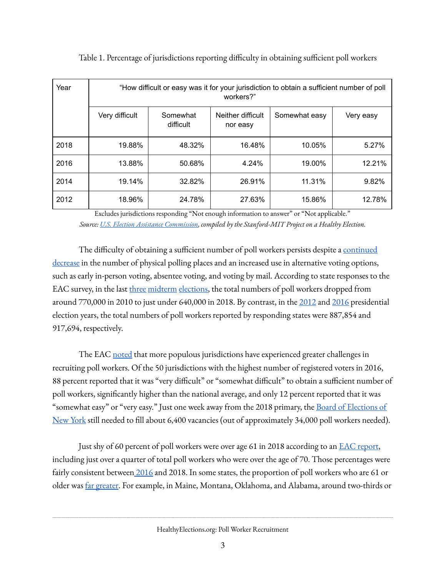| Year | "How difficult or easy was it for your jurisdiction to obtain a sufficient number of poll<br>workers?" |                       |                               |               |           |  |  |  |  |  |
|------|--------------------------------------------------------------------------------------------------------|-----------------------|-------------------------------|---------------|-----------|--|--|--|--|--|
|      | Very difficult                                                                                         | Somewhat<br>difficult | Neither difficult<br>nor easy | Somewhat easy | Very easy |  |  |  |  |  |
| 2018 | 19.88%                                                                                                 | 48.32%                | 16.48%                        | 10.05%        | 5.27%     |  |  |  |  |  |
| 2016 | 13.88%                                                                                                 | 50.68%                | 4.24%                         | 19.00%        | 12.21%    |  |  |  |  |  |
| 2014 | 19.14%                                                                                                 | 32.82%                | 26.91%                        | 11.31%        | 9.82%     |  |  |  |  |  |
| 2012 | 18.96%                                                                                                 | 24.78%                | 27.63%                        | 15.86%        | 12.78%    |  |  |  |  |  |

Table 1. Percentage of jurisdictions reporting difficulty in obtaining sufficient poll workers

Excludes jurisdictions responding "Not enough information to answer" or "Not applicable." *Source: U.S. Election Assistance [Commission](https://www.eac.gov/research-and-data/datasets-codebooks-and-surveys), compiled by the Stanford-MIT Project on a Healthy Election.*

The difficulty of obtaining a sufficient number of poll workers persists despite a [continued](https://www.eac.gov/documents/2017/11/15/eavs-deep-dive-poll-workers-and-polling-places) [decrease](https://www.eac.gov/documents/2017/11/15/eavs-deep-dive-poll-workers-and-polling-places) in the number of physical polling places and an increased use in alternative voting options, such as early in-person voting, absentee voting, and voting by mail. According to state responses to the EAC survey, in the last [three](https://www.eac.gov/sites/default/files/eac_assets/1/28/990-281_EAC_EAVS_508_revised.pdf) [midterm](https://www.eac.gov/sites/default/files/eac_assets/1/1/2014_EAC_EAVS_Comprehensive_Report_508_Compliant.pdf) [elections,](https://www.eac.gov/sites/default/files/eac_assets/1/6/2018_EAVS_Report.pdf) the total numbers of poll workers dropped from around 770,000 in 2010 to just under 640,000 in 2018. By contrast, in the [2012](https://www.eac.gov/sites/default/files/eac_assets/1/28/990-050_EAC_VoterSurvey_508Compliant_1.pdf) and [2016](https://www.eac.gov/sites/default/files/eac_assets/1/6/2016_EAVS_Comprehensive_Report.pdf) presidential election years, the total numbers of poll workers reported by responding states were 887,854 and 917,694, respectively.

The EAC [noted](https://www.eac.gov/documents/2017/11/15/eavs-deep-dive-poll-workers-and-polling-places) that more populous jurisdictions have experienced greater challenges in recruiting poll workers. Of the 50 jurisdictions with the highest number of registered voters in 2016, 88 percent reported that it was "very difficult" or "somewhat difficult" to obtain a sufficient number of poll workers, signicantly higher than the national average, and only 12 percent reported that it was "somewhat easy" or "very easy." Just one week away from the 2018 primary, the <u>Board of [Elections](https://www.nytimes.com/2018/09/06/nyregion/the-path-to-becoming-an-underpaid-underappreciated-and-absolutely-necessary-election-poll-worker.html) of</u> [New](https://www.nytimes.com/2018/09/06/nyregion/the-path-to-becoming-an-underpaid-underappreciated-and-absolutely-necessary-election-poll-worker.html) York still needed to fill about 6,400 vacancies (out of approximately 34,000 poll workers needed).

Just shy of 60 percent of poll workers were over age 61 in 2018 according to an **EAC** [report,](https://www.eac.gov/sites/default/files/eac_assets/1/6/2018_EAVS_Report.pdf) including just over a quarter of total poll workers who were over the age of 70. Those percentages were fairly consistent between [2016](https://www.eac.gov/sites/default/files/eac_assets/1/6/2016_EAVS_Comprehensive_Report.pdf) and 2018. In some states, the proportion of poll workers who are 61 or older was far [greater.](https://publicintegrity.org/politics/elections/democracy-2020/elderly-workers-run-elections-but-covid-19-will-keep-many-home/) For example, in Maine, Montana, Oklahoma, and Alabama, around two-thirds or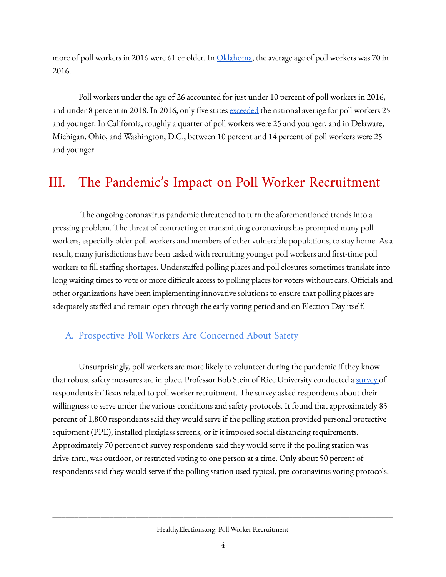more of poll workers in 2016 were 61 or older. In *[Oklahoma](https://oklahoman.com/article/5596387/oklahoma-election-workers-wanted)*, the average age of poll workers was 70 in 2016.

Poll workers under the age of 26 accounted for just under 10 percent of poll workers in 2016, and under 8 percent in 2018. In 2016, only five states [exceeded](https://www.eac.gov/documents/2017/11/15/eavs-deep-dive-poll-workers-and-polling-places) the national average for poll workers 25 and younger. In California, roughly a quarter of poll workers were 25 and younger, and in Delaware, Michigan, Ohio, and Washington, D.C., between 10 percent and 14 percent of poll workers were 25 and younger.

# <span id="page-3-0"></span>III. The Pandemic ' s Impact on Poll Worker Recruitment

The ongoing coronavirus pandemic threatened to turn the aforementioned trends into a pressing problem. The threat of contracting or transmitting coronavirus has prompted many poll workers, especially older poll workers and members of other vulnerable populations, to stay home. As a result, many jurisdictions have been tasked with recruiting younger poll workers and first-time poll workers to fill staffing shortages. Understaffed polling places and poll closures sometimes translate into long waiting times to vote or more difficult access to polling places for voters without cars. Officials and other organizations have been implementing innovative solutions to ensure that polling places are adequately staffed and remain open through the early voting period and on Election Day itself.

## <span id="page-3-1"></span>A. Prospective Poll Workers Are Concerned About Safety

Unsurprisingly, poll workers are more likely to volunteer during the pandemic if they know that robust safety measures are in place. Professor Bob Stein of Rice University conducted a [survey](https://www.houstonpublicmedia.org/articles/news/politics/2020/05/08/369099/poll-workers-willing-to-brave-coronavirus-with-precautions-survey-finds/) of respondents in Texas related to poll worker recruitment. The survey asked respondents about their willingness to serve under the various conditions and safety protocols. It found that approximately 85 percent of 1,800 respondents said they would serve if the polling station provided personal protective equipment (PPE), installed plexiglass screens, or if it imposed social distancing requirements. Approximately 70 percent of survey respondents said they would serve if the polling station was drive-thru, was outdoor, or restricted voting to one person at a time. Only about 50 percent of respondents said they would serve if the polling station used typical, pre-coronavirus voting protocols.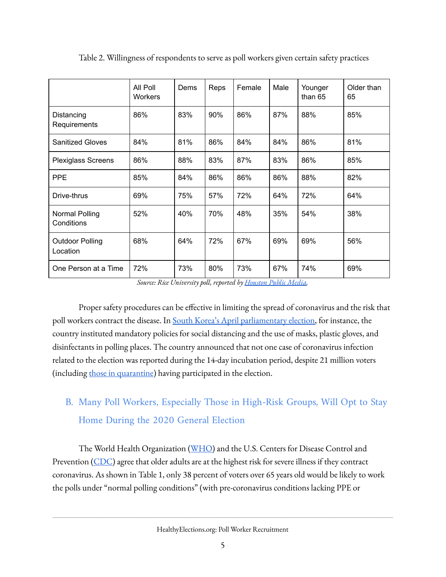|                                    | All Poll<br><b>Workers</b> | Dems | Reps | Female | Male | Younger<br>than 65 | Older than<br>65 |
|------------------------------------|----------------------------|------|------|--------|------|--------------------|------------------|
| Distancing<br>Requirements         | 86%                        | 83%  | 90%  | 86%    | 87%  | 88%                | 85%              |
| <b>Sanitized Gloves</b>            | 84%                        | 81%  | 86%  | 84%    | 84%  | 86%                | 81%              |
| <b>Plexiglass Screens</b>          | 86%                        | 88%  | 83%  | 87%    | 83%  | 86%                | 85%              |
| <b>PPE</b>                         | 85%                        | 84%  | 86%  | 86%    | 86%  | 88%                | 82%              |
| Drive-thrus                        | 69%                        | 75%  | 57%  | 72%    | 64%  | 72%                | 64%              |
| Normal Polling<br>Conditions       | 52%                        | 40%  | 70%  | 48%    | 35%  | 54%                | 38%              |
| <b>Outdoor Polling</b><br>Location | 68%                        | 64%  | 72%  | 67%    | 69%  | 69%                | 56%              |
| One Person at a Time               | 72%                        | 73%  | 80%  | 73%    | 67%  | 74%                | 69%              |

Table 2. Willingness of respondents to serve as poll workers given certain safety practices

*Source: Rice University poll, reported by [Houston](https://www.houstonpublicmedia.org/articles/news/politics/2020/05/08/369099/poll-workers-willing-to-brave-coronavirus-with-precautions-survey-finds/) Public Media.*

Proper safety procedures can be effective in limiting the spread of coronavirus and the risk that poll workers contract the disease. In South Korea's April [parliamentary](https://www.reuters.com/article/us-health-coronavirus-southkorea-idUSKBN22C05U?taid=5eaa4c1b06bb9b0001402f49&utm_campaign=trueAnthem%3A+Trending+Content&utm_medium=trueAnthem&utm_source=twitter&fbclid=IwAR1pWx9jhPyV2pKpGFZftx2zj8Sb1QuQxGUxK8SefRkSHCXse1kLgEQ_d7Y) election, for instance, the country instituted mandatory policies for social distancing and the use of masks, plastic gloves, and disinfectants in polling places. The country announced that not one case of coronavirus infection related to the election was reported during the 14-day incubation period, despite 21 million voters (including those in [quarantine\)](https://twitter.com/BBCLBicker/status/1250183718628503553) having participated in the election.

# <span id="page-4-0"></span>B. Many Poll Workers, Especially Those in High-Risk Groups, Will Opt to Stay Home During the 2020 General Election

The World Health Organization ([WHO\)](https://www.who.int/news-room/feature-stories/detail/who-delivers-advice-and-support-for-older-people-during-covid-19#:~:text=The%20COVID%2D19%20pandemic,potential%20underlying%20health%20conditions.) and the U.S. Centers for Disease Control and Prevention [\(CDC](https://www.cdc.gov/coronavirus/2019-ncov/need-extra-precautions/older-adults.html)) agree that older adults are at the highest risk for severe illness if they contract coronavirus. As shown in Table 1, only 38 percent of voters over 65 years old would be likely to work the polls under "normal polling conditions" (with pre-coronavirus conditions lacking PPE or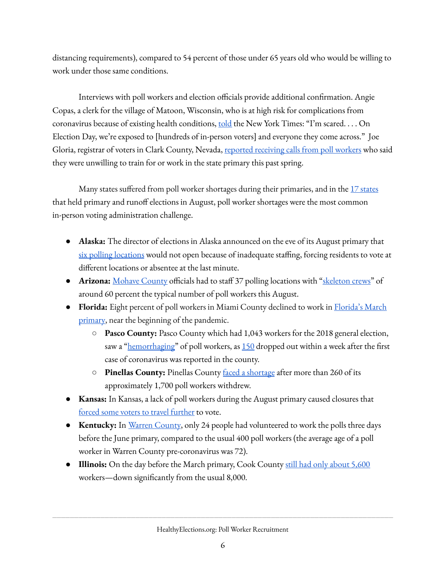distancing requirements), compared to 54 percent of those under 65 years old who would be willing to work under those same conditions.

Interviews with poll workers and election officials provide additional confirmation. Angie Copas, a clerk for the village of Matoon, Wisconsin, who is at high risk for complications from coronavirus because of existing health conditions, [told](https://www.nytimes.com/2020/04/02/us/politics/wisconsin-election-coronavirus.html) the New York Times: "I'm scared.... On Election Day, we're exposed to [hundreds of in-person voters] and everyone they come across." Joe Gloria, registrar of voters in Clark County, Nevada, reported [receiving](https://publicintegrity.org/politics/elections/democracy-2020/elderly-workers-run-elections-but-covid-19-will-keep-many-home/) calls from poll workers who said they were unwilling to train for or work in the state primary this past spring.

Many [states](https://healthyelections.org/sites/default/files/2020-08/august_primaries_memo.pdf) suffered from poll worker shortages during their primaries, and in the  $17$  states that held primary and runoff elections in August, poll worker shortages were the most common in-person voting administration challenge.

- **● Alaska:** The director of elections in Alaska announced on the eve of its August primary that six polling [locations](https://www.alaskapublic.org/2020/08/18/voters-in-6-villages-will-vote-absentee-in-person-tuesday/) would not open because of inadequate staffing, forcing residents to vote at different locations or absentee at the last minute.
- **Arizona:** [Mohave](https://kdminer.com/news/2020/aug/01/salary-priority-mohave-county-heads-polls/) County officials had to staff 37 polling locations with ["skeleton](https://kdminer.com/news/2020/aug/06/1-3-registered-voters-cast-ballots-primary-few-hit/) crews" of around 60 percent the typical number of poll workers this August.
- **Florida:** Eight percent of poll workers in Miami County declined to work in [Florida's](https://www.nytimes.com/2020/03/17/us/politics/primary-voter-turnout-2020.html) March [primary,](https://www.nytimes.com/2020/03/17/us/politics/primary-voter-turnout-2020.html) near the beginning of the pandemic.
	- **○ Pasco County:** Pasco County which had 1,043 workers for the 2018 general election, saw a "[hemorrhaging](https://www.tampabay.com/news/health/2020/03/11/coronavirus-fears-move-florida-voting-sites-from-assisted-living-facilities/)" of poll workers, as  $150$  dropped out within a week after the first case of coronavirus was reported in the county.
	- **○ Pinellas County:** Pinellas County faced a [shortage](https://www.tampabay.com/florida-politics/buzz/2020/03/16/coronavirus-pandemic-threatens-floridas-tuesday-primary/) after more than 260 of its approximately 1,700 poll workers withdrew.
- **● Kansas:** In Kansas, a lack of poll workers during the August primary caused closures that forced some voters to travel [further](https://www.kansascity.com/article244716902.html) to vote.
- **● Kentucky:** In Warren [County](https://hoptownchronicle.org/coronavirus-pandemic-reshapes-kentuckys-2020-primary-election/), only 24 people had volunteered to work the polls three days before the June primary, compared to the usual 400 poll workers (the average age of a poll worker in Warren County pre-coronavirus was 72).
- **● Illinois:** On the day before the March primary, Cook County still had only [about](https://chicago.cbslocal.com/2020/03/16/cook-county-election-day-election-judges-shortage-coronavirus-covid-19/) 5,600 workers—down significantly from the usual 8,000.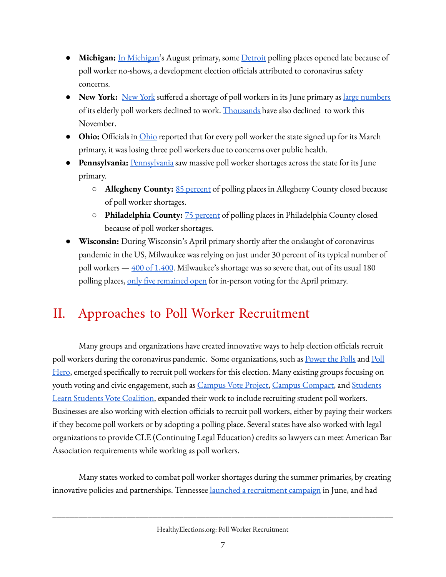- **Michigan:** In [Michigan'](https://www.freep.com/story/news/politics/elections/2020/08/05/michigan-absentee-ballots-november-election/3298698001/)s August primary, some **[Detroit](https://www.freep.com/story/news/politics/elections/2020/08/05/michigan-absentee-ballots-november-election/3298698001/)** polling places opened late because of poll worker no-shows, a development election officials attributed to coronavirus safety concerns.
- **[New](https://www.wxxinews.org/post/monroe-county-likely-cut-election-polling-sites-amid-poll-worker-shortage-pandemic) York:** New York suffered a shortage of poll workers in its June primary as <u>large [numbers](https://www.nyclu.org/en/news/ny-must-fix-these-four-voting-problems-november)</u> of its elderly poll workers declined to work. [Thousands](https://www.syracuse.com/politics/cny/2020/08/ny-recruits-poll-workers-for-2020-election-to-ease-shortage-caused-by-coronavirus.html) have also declined to work this November.
- **[Ohio](https://www.vice.com/en_us/article/4ag5pg/poll-workers-are-resigning-over-coronavirus-and-states-are-scrambling):** Officials in *Ohio* reported that for every poll worker the state signed up for its March primary, it was losing three poll workers due to concerns over public health.
- **[Pennsylvania](https://www.pennlive.com/news/2020/05/some-poll-workers-have-pulled-out-of-working-the-primary-amid-fears-of-coronavirus.html):** Pennsylvania saw massive poll worker shortages across the state for its June primary.
	- **○ Allegheny County:** 85 [percent](https://triblive.com/local/pittsburgh-allegheny/allegheny-county-votes-to-consolidate-primary-polling-locations/) of polling places in Allegheny County closed because of poll worker shortages.
	- **○ Philadelphia County:** 75 [percent](https://www.inquirer.com/politics/election/coronavirus-philadelphia-pa-2020-primary-election-20200528.html) of polling places in Philadelphia County closed because of poll worker shortages.
- **Wisconsin:** During Wisconsin's April primary shortly after the onslaught of coronavirus pandemic in the US, Milwaukee was relying on just under 30 percent of its typical number of poll workers  $-400$  of  $1,400$ . Milwaukee's shortage was so severe that, out of its usual 180 polling places, only five [remained](https://www.jsonline.com/story/news/politics/elections/2020/04/09/wisconsin-election-milwaukee-had-5-voting-sites-while-madison-had-66/2970587001/) open for in-person voting for the April primary.

# <span id="page-6-0"></span>II. Approaches to Poll Worker Recruitment

Many groups and organizations have created innovative ways to help election officials recruit poll workers during the coronavirus pandemic. Some organizations, such as **[Power](https://www.powerthepolls.org/) the [Poll](https://www.pollhero.org/)s** and Poll [Hero](https://www.pollhero.org/), emerged specifically to recruit poll workers for this election. Many existing groups focusing on youth voting and civic engagement, such as [Campus](https://www.campusvoteproject.org/) Vote Project, Campus [Compact](https://compact.org/initiatives/campus-vote-home/), and [Students](https://slsvcoalition.org/) Learn Students Vote [Coalition,](https://slsvcoalition.org/) expanded their work to include recruiting student poll workers. Businesses are also working with election officials to recruit poll workers, either by paying their workers if they become poll workers or by adopting a polling place. Several states have also worked with legal organizations to provide CLE (Continuing Legal Education) credits so lawyers can meet American Bar Association requirements while working as poll workers.

Many states worked to combat poll worker shortages during the summer primaries, by creating innovative policies and partnerships. Tennessee launched a [recruitment](https://apnews.com/bec7ff71ef6869207ee4ed77b6fb3496) campaign in June, and had

HealthyElections.org: Poll Worker Recruitment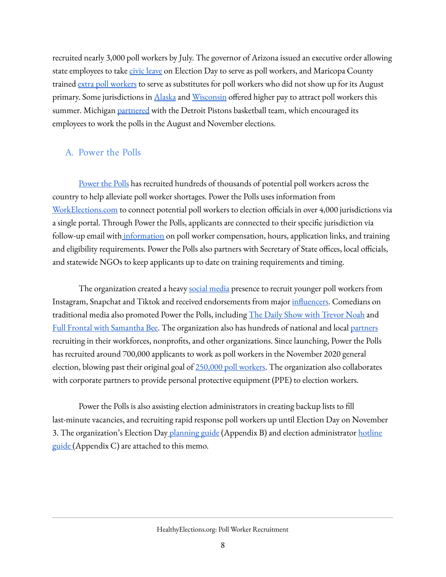recruited nearly 3,000 poll workers by July. The governor of Arizona issued an executive order allowing state employees to take civic [leave](https://azgovernor.gov/sites/default/files/eo_2020-50.pdf) on Election Day to serve as poll workers, and Maricopa County trained extra poll [workers](https://www.azcentral.com/story/news/local/phoenix/2020/08/03/how-covid-19-change-voting-maricopa-county/5528380002/) to serve as substitutes for poll workers who did not show up for its August primary. Some jurisdictions in *[Alaska](https://www.alaskapublic.org/2020/08/18/voters-in-6-villages-will-vote-absentee-in-person-tuesday/)* and *[Wisconsin](https://www.nbc15.com/2020/08/11/wisconsin-hopes-for-smoother-primary-than-april-election/)* offered higher pay to attract poll workers this summer. Michigan [partnered](https://www.nba.com/pistons/features/detroit-pistons-partner-michigan-secretary-states-office-drive-voter-awareness-and-turnout) with the Detroit Pistons basketball team, which encouraged its employees to work the polls in the August and November elections.

### <span id="page-7-0"></span>A. Power the Polls

[Power](https://www.powerthepolls.org/about) the Polls has recruited hundreds of thousands of potential poll workers across the country to help alleviate poll worker shortages. Power the Polls uses information from [WorkElections.com](https://www.workelections.com/) to connect potential poll workers to election officials in over 4,000 jurisdictions via a single portal. Through Power the Polls, applicants are connected to their specific jurisdiction via follow-up email with *[information](https://www.powerthepolls.org/about)* on poll worker compensation, hours, application links, and training and eligibility requirements. Power the Polls also partners with Secretary of State offices, local officials, and statewide NGOs to keep applicants up to date on training requirements and timing.

The organization created a heavy social [media](https://www.marieclaire.com/politics/a33994556/how-to-become-a-poll-worker/) presence to recruit younger poll workers from Instagram, Snapchat and Tiktok and received endorsements from major *influencers*. Comedians on traditional media also promoted Power the Polls, including <u>The Daily Show with [Trevor](https://twitter.com/thedailyshow/status/1284986122872016903?lang=en) Noah</u> and Full Frontal with [Samantha](https://www.youtube.com/watch?v=11_4--ocb_g) Bee. The organization also has hundreds of national and local [partners](https://www.powerthepolls.org/partners) recruiting in their workforces, nonprots, and other organizations. Since launching, Power the Polls has recruited around 700,000 applicants to work as poll workers in the November 2020 general election, blowing past their original goal of [250,000](https://www.powerthepolls.org/about) poll workers. The organization also collaborates with corporate partners to provide personal protective equipment (PPE) to election workers.

Power the Polls is also assisting election administrators in creating backup lists to fill last-minute vacancies, and recruiting rapid response poll workers up until Election Day on November 3. The organization's Election Day [planning](https://docs.google.com/document/d/1xpDYo18f8B-x9ETpR0FTzRHTrT6MEmEXfH8sBILtIRA/edit) guide (Appendix B) and election administrator [hotline](https://docs.google.com/document/d/1ZnQGOrpQEkdMXzj6dxpAEPQ7wd4x1bTYsqXf3HiVbuU/edit#heading=h.jyi2zfgi4bhz) [guide](https://docs.google.com/document/d/1ZnQGOrpQEkdMXzj6dxpAEPQ7wd4x1bTYsqXf3HiVbuU/edit#heading=h.jyi2zfgi4bhz) (Appendix C) are attached to this memo.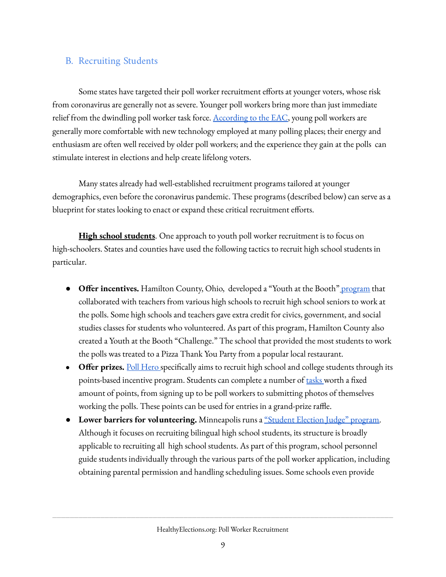### <span id="page-8-0"></span>B. Recruiting Students

Some states have targeted their poll worker recruitment efforts at younger voters, whose risk from coronavirus are generally not as severe. Younger poll workers bring more than just immediate relief from the dwindling poll worker task force. [According](https://www.eac.gov/documents/2017/11/15/eavs-deep-dive-poll-workers-and-polling-places) to the EAC, young poll workers are generally more comfortable with new technology employed at many polling places; their energy and enthusiasm are often well received by older poll workers; and the experience they gain at the polls can stimulate interest in elections and help create lifelong voters.

Many states already had well-established recruitment programs tailored at younger demographics, even before the coronavirus pandemic. These programs (described below) can serve as a blueprint for states looking to enact or expand these critical recruitment efforts.

**High school students**. One approach to youth poll worker recruitment is to focus on high-schoolers. States and counties have used the following tactics to recruit high school students in particular.

- **Offer incentives.** Hamilton County, Ohio, developed a "Youth at the Booth" [program](https://votehamiltoncountyohio.gov/files/files/elections/November%202016/YAB%202016%20Packet.pdf) that collaborated with teachers from various high schools to recruit high school seniors to work at the polls. Some high schools and teachers gave extra credit for civics, government, and social studies classes for students who volunteered. As part of this program, Hamilton County also created a Youth at the Booth "Challenge." The school that provided the most students to work the polls was treated to a Pizza Thank You Party from a popular local restaurant.
- **Offer prizes.** Poll [Hero](https://www.pollhero.org/) specifically aims to recruit high school and college students through its points-based incentive program. Students can complete a number of [tasks](https://www.pollhero.org/journey) worth a fixed amount of points, from signing up to be poll workers to submitting photos of themselves working the polls. These points can be used for entries in a grand-prize raffle.
- **Lower barriers for volunteering.** Minneapolis runs a ["Student](https://www.eac.gov/sites/default/files/eac_assets/1/6/Minneapolis_Election_Worker.pdf) Election Judge" program. Although it focuses on recruiting bilingual high school students, its structure is broadly applicable to recruiting all high school students. As part of this program, school personnel guide students individually through the various parts of the poll worker application, including obtaining parental permission and handling scheduling issues. Some schools even provide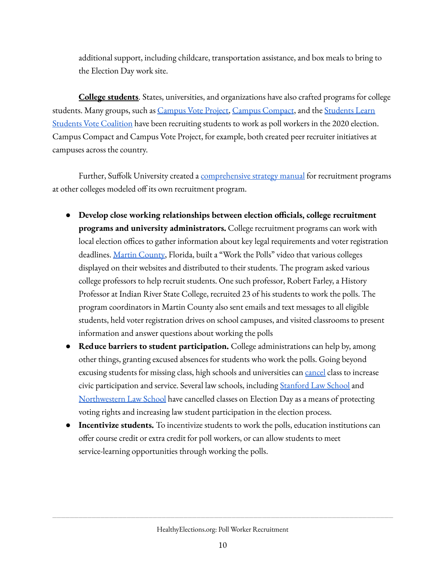additional support, including childcare, transportation assistance, and box meals to bring to the Election Day work site.

**College students**. States, universities, and organizations have also crafted programs for college students. Many groups, such as [Campus](https://www.campusvoteproject.org/) Vote Project, Campus [Compact,](https://compact.org/education-for-democracy/safe-elections-project/) and the [Students](https://slsvcoalition.org/for-students/) Learn Students Vote [Coalition](https://slsvcoalition.org/for-students/) have been recruiting students to work as poll workers in the 2020 election. Campus Compact and Campus Vote Project, for example, both created peer recruiter initiatives at campuses across the country.

Further, Suffolk University created a [comprehensive](https://www.mesacc.edu/community-civic-engagement/journals/strategies-success-starting-college-poll-worker-program) strategy manual for recruitment programs at other colleges modeled off its own recruitment program.

- **Develop close working relationships between election ocials, college recruitment programs and university administrators.** College recruitment programs can work with local election offices to gather information about key legal requirements and voter registration deadlines. Martin [County](https://www.eac.gov/sites/default/files/clearinghouseawards/2019/MartinCounty_TrainRecruitStudents_Pollworkers_2019CleariesC%20Entry.pdf), Florida, built a "Work the Polls" video that various colleges displayed on their websites and distributed to their students. The program asked various college professors to help recruit students. One such professor, Robert Farley, a History Professor at Indian River State College, recruited 23 of his students to work the polls. The program coordinators in Martin County also sent emails and text messages to all eligible students, held voter registration drives on school campuses, and visited classrooms to present information and answer questions about working the polls
- **Reduce barriers to student participation.** College administrations can help by, among other things, granting excused absences for students who work the polls. Going beyond excusing students for missing class, high schools and universities can [cancel](https://www.acslaw.org/wp-content/uploads/2019/10/Class-Cancellation-Blueprint.pdf) class to increase civic participation and service. Several law schools, including **[Stanford](https://law.stanford.edu/event/election-day-no-law-school-classes/) Law School** and [Northwestern](https://www.law.northwestern.edu/about/news/newsdisplay.cfm?ID=926) Law School have cancelled classes on Election Day as a means of protecting voting rights and increasing law student participation in the election process.
- **Incentivize students.** To incentivize students to work the polls, education institutions can offer course credit or extra credit for poll workers, or can allow students to meet service-learning opportunities through working the polls.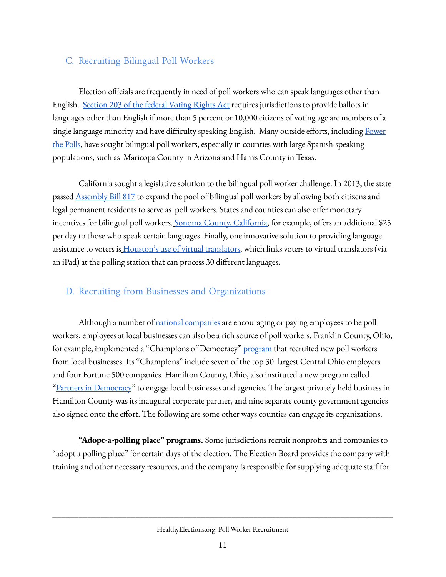### <span id="page-10-0"></span>C. Recruiting Bilingual Poll Workers

Election officials are frequently in need of poll workers who can speak languages other than English. [Section](https://www.justice.gov/crt/language-minority-citizens) 203 of the federal Voting Rights Act requires jurisdictions to provide ballots in languages other than English if more than 5 percent or 10,000 citizens of voting age are members of a single language minority and have difficulty speaking English. Many outside efforts, including [Power](https://www.nbcnews.com/news/latino/groups-urge-latinos-especially-youth-sign-be-bilingual-poll-workers-n1240584) the [Polls](https://www.nbcnews.com/news/latino/groups-urge-latinos-especially-youth-sign-be-bilingual-poll-workers-n1240584), have sought bilingual poll workers, especially in counties with large Spanish-speaking populations, such as Maricopa County in Arizona and Harris County in Texas.

California sought a legislative solution to the bilingual poll worker challenge. In 2013, the state passed [Assembly](http://www.leginfo.ca.gov/pub/13-14/bill/asm/ab_0801-0850/ab_817_cfa_20130807_170640_asm_floor.html) Bill 817 to expand the pool of bilingual poll workers by allowing both citizens and legal permanent residents to serve as poll workers. States and counties can also offer monetary incentives for bilingual poll workers. [S](http://sonomacounty.ca.gov/CRA/Registrar-of-Voters/Poll-Worker-Information/)onoma County, [California](http://sonomacounty.ca.gov/CRA/Registrar-of-Voters/Poll-Worker-Information/), for example, offers an additional \$25 per day to those who speak certain languages. Finally, one innovative solution to providing language a[s](https://www.houstonchronicle.com/news/houston-texas/houston/article/Harris-County-unveils-multilingual-virtual-15057921.php)sistance to voters is **[Houston's](https://www.houstonchronicle.com/news/houston-texas/houston/article/Harris-County-unveils-multilingual-virtual-15057921.php) use of virtual translators**, which links voters to virtual translators (via an iPad) at the polling station that can process 30 different languages.

### <span id="page-10-1"></span>D. Recruiting from Businesses and Organizations

Although a number of *national [companies](https://healthyelections.org/sites/default/files/2020-09/list_of_corporate_contributions_to_election_efforts.pdf)* are encouraging or paying employees to be poll workers, employees at local businesses can also be a rich source of poll workers. Franklin County, Ohio, for example, implemented a "Champions of Democracy" [program](https://www.eac.gov/sites/default/files/CompetitionSubmissionFranklinCountyOhio.pdf) that recruited new poll workers from local businesses. Its "Champions" include seven of the top 30 largest Central Ohio employers and four Fortune 500 companies. Hamilton County, Ohio, also instituted a new program called "Partners in [Democracy"](https://www.eac.gov/sites/default/files/eac_assets/1/28/CompetitionSubmission.HamiltonCountyOhio.pdf) to engage local businesses and agencies. The largest privately held business in Hamilton County was its inaugural corporate partner, and nine separate county government agencies also signed onto the effort. The following are some other ways counties can engage its organizations.

"Adopt-a-polling place" programs. Some jurisdictions recruit nonprofits and companies to "adopt a polling place" for certain days of the election. The Election Board provides the company with training and other necessary resources, and the company is responsible for supplying adequate staff for

HealthyElections.org: Poll Worker Recruitment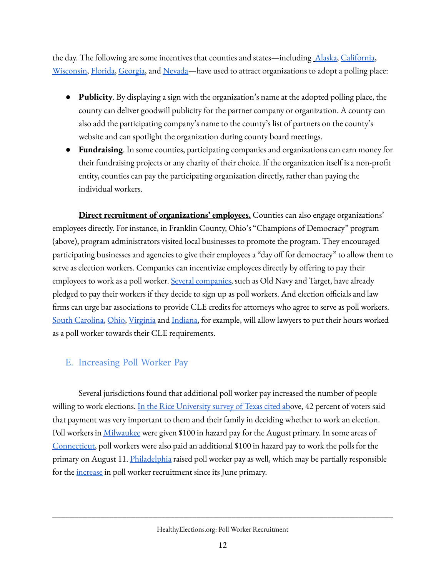the day. The following are some incentives that counties and states—including [Alaska,](http://www.elections.alaska.gov/doc/info/S05B-R4.pdf) [California](https://www.solanocounty.com/depts/rov/workers/adopt_a_poll.asp), [Wisconsin,](https://city.milwaukee.gov/election/Helpmilwaukeevote/AdoptAVotingSite.htm) [Florida,](https://www.sumterelections.org/Poll-Worker/Adopt-A-Precinct-Information) [Georgia,](https://secure.everyaction.com/7xjDB7OhR0SOz_48zz9zgA2) and [Nevada—](https://www.washoecounty.us/voters/get-involved/poll%20workers/adoptapollingplace.php)have used to attract organizations to adopt a polling place:

- **Publicity**. By displaying a sign with the organization's name at the adopted polling place, the county can deliver goodwill publicity for the partner company or organization. A county can also add the participating company's name to the county's list of partners on the county's website and can spotlight the organization during county board meetings.
- **Fundraising** . In some counties, participating companies and organizations can earn money for their fundraising projects or any charity of their choice. If the organization itself is a non-prot entity, counties can pay the participating organization directly, rather than paying the individual workers.

**Direct recruitment of organizations' employees.** Counties can also engage organizations' employees directly. For instance, in Franklin County, Ohio's "Champions of Democracy" program (above), program administrators visited local businesses to promote the program. They encouraged participating businesses and agencies to give their employees a "day off for democracy" to allow them to serve as election workers. Companies can incentivize employees directly by offering to pay their employees to work as a poll worker. Several [companies](https://www.vox.com/the-goods/2020/9/10/21428934/companies-pay-employees-poll-workers-2020), such as Old Navy and Target, have already pledged to pay their workers if they decide to sign up as poll workers. And election officials and law firms can urge bar associations to provide CLE credits for attorneys who agree to serve as poll workers. South [Carolina](https://www.sccourts.org/whatsnew/displayWhatsNew.cfm?indexId=2534), [Ohio,](http://courtnewsohio.gov/happening/2020/attorneyPollsCLE_072320.asp#.X4-B_dBKg2x) [Virginia](https://valawyersweekly.com/2020/09/07/cle-available-for-work-on-election-day/) and [Indiana](https://www.theindianalawyer.com/articles/cle-credit-available-to-attorneys-who-serve-on-election-day), for example, will allow lawyers to put their hours worked as a poll worker towards their CLE requirements.

## <span id="page-11-0"></span>E. Increasing Poll Worker Pay

Several jurisdictions found that additional poll worker pay increased the number of people willing to work elections. In the Rice [University](https://www.houstonpublicmedia.org/articles/news/politics/2020/05/08/369099/poll-workers-willing-to-brave-coronavirus-with-precautions-survey-finds/) survey of Texas cited above, 42 percent of voters said that payment was very important to them and their family in deciding whether to work an election. Poll workers in [Milwaukee](https://www.wisn.com/article/milwaukee-offering-hazard-pay-to-poll-workers-in-upcoming-elections/33315916) were given \$100 in hazard pay for the August primary. In some areas of [Connecticut](https://time.com/5876195/coronavirus-poll-workers-election/), poll workers were also paid an additional \$100 in hazard pay to work the polls for the primary on August 11. [Philadelphia](https://philadelphia.cbslocal.com/2020/09/10/higher-pay-for-november-election-poll-workers-due-to-covid-19-risks-raises-concerns/) raised poll worker pay as well, which may be partially responsible for the [increase](https://whyy.org/articles/philly-area-counties-say-efforts-to-recruit-poll-workers-for-election-day-are-paying-off/) in poll worker recruitment since its June primary.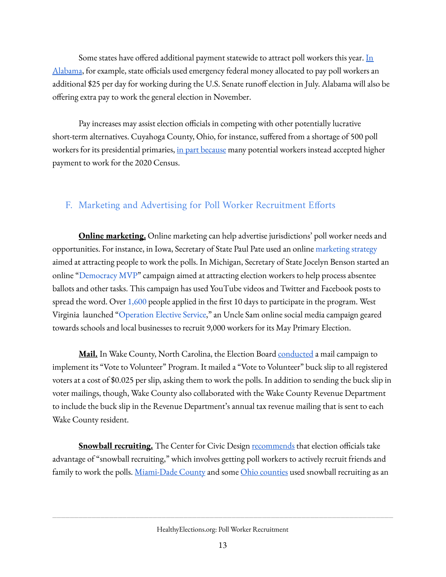Some states have offered additional payment statewide to attract poll workers this year. [In](https://www.nbcnews.com/politics/2020-election/elderly-poll-workers-run-u-s-elections-covid-19-will-n1205761) [Alabama](https://www.nbcnews.com/politics/2020-election/elderly-poll-workers-run-u-s-elections-covid-19-will-n1205761), for example, state officials used emergency federal money allocated to pay poll workers an additional \$25 per day for working during the U.S. Senate runoff election in July. Alabama will also be offering extra pay to work the general election in November.

Pay increases may assist election officials in competing with other potentially lucrative short-term alternatives. Cuyahoga County, Ohio, for instance, suffered from a shortage of 500 poll workers for its presidential primaries, in part [because](https://www.cleveland.com/open/2020/03/cuyahoga-county-short-500-poll-workers-part-of-a-larger-statewide-shortage-due-to-coronavirus.html) many potential workers instead accepted higher payment to work for the 2020 Census.

## <span id="page-12-0"></span>F. Marketing and Advertising for Poll Worker Recruitment Efforts

**Online marketing.** Online marketing can help advertise jurisdictions' poll worker needs and opportunities. For instance, in Iowa, Secretary of State Paul Pate used an online [marketing](https://pollworker.iowa.gov/) strategy aimed at attracting people to work the polls. In Michigan, Secretary of State Jocelyn Benson started an online "[Democracy](https://www.michigan.gov/sos/0,4670,7-127-1633_11976_98803---,00.html) MVP" campaign aimed at attracting election workers to help process absentee ballots and other tasks. This campaign has used YouTube videos and Twitter and Facebook posts to spread the word. Over  $1,600$  people applied in the first 10 days to participate in the program. West Virginia launched "[Operation](https://www.wboy.com/top-stories/secretary-of-states-office-launching-operation-elective-service-to-recruit-poll-workers/) Elective Service," an Uncle Sam online social media campaign geared towards schools and local businesses to recruit 9,000 workers for its May Primary Election.

**Mail.** In Wake County, North Carolina, the Election Board [conducted](https://www.eac.gov/sites/default/files/clearinghouseawards/2019/WakeCountyNC_Pollworker_2019Clearies.pdf) a mail campaign to implement its "Vote to Volunteer" Program. It mailed a "Vote to Volunteer" buck slip to all registered voters at a cost of \$0.025 per slip, asking them to work the polls. In addition to sending the buck slip in voter mailings, though, Wake County also collaborated with the Wake County Revenue Department to include the buck slip in the Revenue Department's annual tax revenue mailing that is sent to each Wake County resident.

**<u>Snowball recruiting.</u>** The Center for Civic Design [recommends](https://civicdesign.org/strategies-for-recruiting-poll-workers/) that election officials take advantage of "snowball recruiting," which involves getting poll workers to actively recruit friends and family to work the polls. <u>[Miami-Dade](https://www.miamidade.gov/global/service.page?Mduid_service=ser1496340543264351) County</u> and some <u>Ohio [counties](https://www.cincinnati.com/story/news/politics/2020/03/12/ohio-elections-boards-frantically-seeking-poll-workers-due-coronavirus-outbreak/5033374002/)</u> used snowball recruiting as an

HealthyElections.org: Poll Worker Recruitment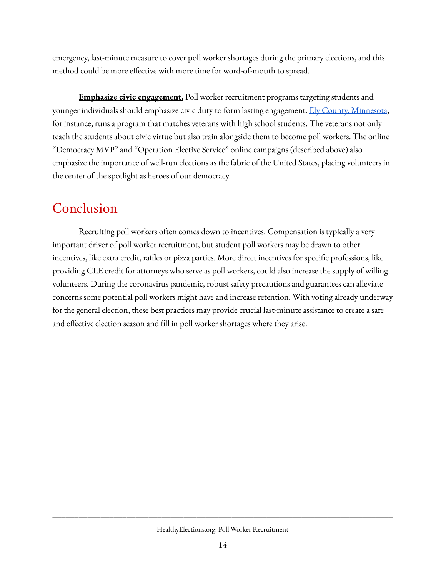emergency, last-minute measure to cover poll worker shortages during the primary elections, and this method could be more effective with more time for word-of-mouth to spread.

**Emphasize civic engagement.** Poll worker recruitment programs targeting students and younger individuals should emphasize civic duty to form lasting engagement. Ely County, [Minnesota,](https://www.eac.gov/sites/default/files/eac_assets/1/6/ElyMN.pdf) for instance, runs a program that matches veterans with high school students. The veterans not only teach the students about civic virtue but also train alongside them to become poll workers. The online "Democracy MVP" and "Operation Elective Service" online campaigns (described above) also emphasize the importance of well-run elections as the fabric of the United States, placing volunteers in the center of the spotlight as heroes of our democracy.

# <span id="page-13-0"></span>Conclusion

Recruiting poll workers often comes down to incentives. Compensation is typically a very important driver of poll worker recruitment, but student poll workers may be drawn to other incentives, like extra credit, raffles or pizza parties. More direct incentives for specific professions, like providing CLE credit for attorneys who serve as poll workers, could also increase the supply of willing volunteers. During the coronavirus pandemic, robust safety precautions and guarantees can alleviate concerns some potential poll workers might have and increase retention. With voting already underway for the general election, these best practices may provide crucial last-minute assistance to create a safe and effective election season and fill in poll worker shortages where they arise.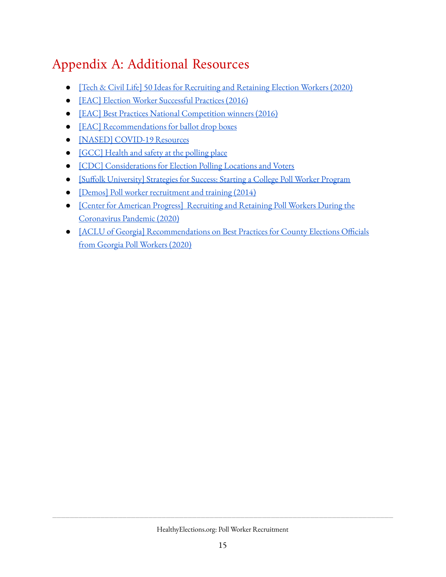# <span id="page-14-0"></span>Appendix A: Additional Resources

- [Tech & Civil Life] 50 Ideas for [Recruiting](https://www.techandciviclife.org/recruiting-election-workers/) and Retaining Election Workers (2020)
- [EAC] Election Worker [Successful](https://www.eac.gov/sites/default/files/document_library/files/Election_Worker_Successful_Practices1.pdf) Practices (2016)
- [EAC] Best Practices National [Competition](https://www.eac.gov/election-officials/poll-worker-best-practices) winners (2016)
- [EAC] [Recommendations](https://www.eac.gov/sites/default/files/electionofficials/vbm/Ballot_Drop_Box.pdf) for ballot drop boxes
- [NASED] [COVID-19](https://www.nased.org/covid19) Resources
- [\[GCC\]](https://static1.squarespace.com/static/5a665c98017db2b60bc22084/t/5ed591faf126433775971c51/1591054842728/Health+%26+Safety+at+the+Polling+Place+%282020-05-28%29+%28508+version%29.pdf) Health and safety at the polling place
- [CDC] [Considerations](https://www.cdc.gov/coronavirus/2019-ncov/community/election-polling-locations.html) for Election Polling Locations and Voters
- [Suffolk [University\]](https://www.mesacc.edu/community-civic-engagement/journals/strategies-success-starting-college-poll-worker-program) Strategies for Success: Starting a College Poll Worker Program
- [Demos] Poll worker [recruitment](https://www.demos.org/sites/default/files/publications/Millions%20to%20the%20Polls%20%20Poll%20Worker%20Recruitment%20Training.pdf) and training (2014)
- [Center for American Progress] [Recruiting](https://www.americanprogress.org/issues/democracy/reports/2020/09/21/490586/recruiting-retaining-poll-workers-coronavirus-pandemic/) and Retaining Poll Workers During the [Coronavirus](https://www.americanprogress.org/issues/democracy/reports/2020/09/21/490586/recruiting-retaining-poll-workers-coronavirus-pandemic/) Pandemic (2020)
- O [ACLU of Georgia] [Recommendations](https://www.acluga.org/en/press-releases/aclu-georgia-releases-report-suggesting-17-recommendations-county-elections-officials) on Best Practices for County Elections Officials from Georgia Poll [Workers](https://www.acluga.org/en/press-releases/aclu-georgia-releases-report-suggesting-17-recommendations-county-elections-officials) (2020)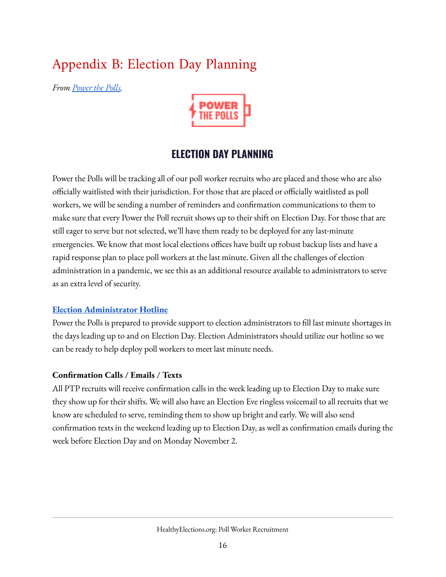# <span id="page-15-0"></span>Appendix B: Election Day Planning

*From [Power](https://docs.google.com/document/d/1xpDYo18f8B-x9ETpR0FTzRHTrT6MEmEXfH8sBILtIRA/edit) the Polls.*



## **ELECTION DAY PLANNING**

Power the Polls will be tracking all of our poll worker recruits who are placed and those who are also officially waitlisted with their jurisdiction. For those that are placed or officially waitlisted as poll workers, we will be sending a number of reminders and confirmation communications to them to make sure that every Power the Poll recruit shows up to their shift on Election Day. For those that are still eager to serve but not selected, we'll have them ready to be deployed for any last-minute emergencies. We know that most local elections offices have built up robust backup lists and have a rapid response plan to place poll workers at the last minute. Given all the challenges of election administration in a pandemic, we see this as an additional resource available to administrators to serve as an extra level of security.

### **Election [Administrator](https://docs.google.com/document/d/1ZnQGOrpQEkdMXzj6dxpAEPQ7wd4x1bTYsqXf3HiVbuU/edit) Hotline**

Power the Polls is prepared to provide support to election administrators to fill last minute shortages in the days leading up to and on Election Day. Election Administrators should utilize our hotline so we can be ready to help deploy poll workers to meet last minute needs.

#### **Conrmation Calls / Emails / Texts**

All PTP recruits will receive confirmation calls in the week leading up to Election Day to make sure they show up for their shifts. We will also have an Election Eve ringless voicemail to all recruits that we know are scheduled to serve, reminding them to show up bright and early. We will also send confirmation texts in the weekend leading up to Election Day, as well as confirmation emails during the week before Election Day and on Monday November 2.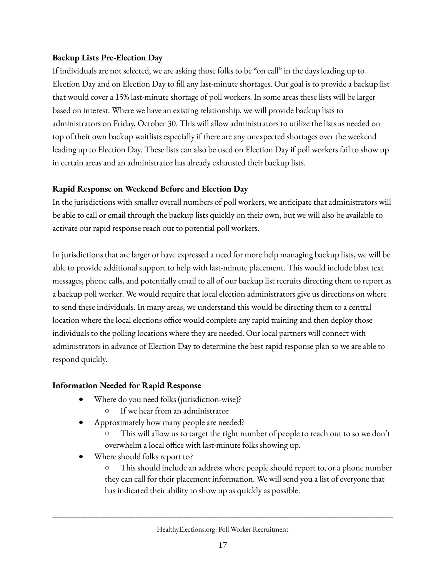#### **Backup Lists Pre-Election Day**

If individuals are not selected, we are asking those folks to be "on call" in the days leading up to Election Day and on Election Day to fill any last-minute shortages. Our goal is to provide a backup list that would cover a 15% last-minute shortage of poll workers. In some areas these lists will be larger based on interest. Where we have an existing relationship, we will provide backup lists to administrators on Friday, October 30. This will allow administrators to utilize the lists as needed on top of their own backup waitlists especially if there are any unexpected shortages over the weekend leading up to Election Day. These lists can also be used on Election Day if poll workers fail to show up in certain areas and an administrator has already exhausted their backup lists.

#### **Rapid Response on Weekend Before and Election Day**

In the jurisdictions with smaller overall numbers of poll workers, we anticipate that administrators will be able to call or email through the backup lists quickly on their own, but we will also be available to activate our rapid response reach out to potential poll workers.

In jurisdictions that are larger or have expressed a need for more help managing backup lists, we will be able to provide additional support to help with last-minute placement. This would include blast text messages, phone calls, and potentially email to all of our backup list recruits directing them to report as a backup poll worker. We would require that local election administrators give us directions on where to send these individuals. In many areas, we understand this would be directing them to a central location where the local elections office would complete any rapid training and then deploy those individuals to the polling locations where they are needed. Our local partners will connect with administrators in advance of Election Day to determine the best rapid response plan so we are able to respond quickly.

#### **Information Needed for Rapid Response**

- Where do you need folks (jurisdiction-wise)?
	- If we hear from an administrator
- Approximately how many people are needed?
	- This will allow us to target the right number of people to reach out to so we don't overwhelm a local office with last-minute folks showing up.
- Where should folks report to?

○ This should include an address where people should report to, or a phone number they can call for their placement information. We will send you a list of everyone that has indicated their ability to show up as quickly as possible.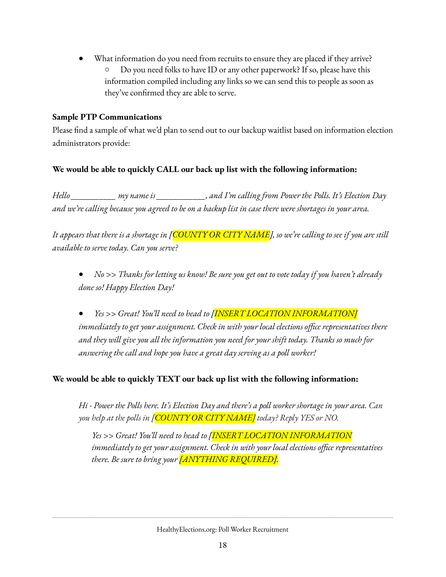What information do you need from recruits to ensure they are placed if they arrive? ○ Do you need folks to have ID or any other paperwork? If so, please have this information compiled including any links so we can send this to people as soon as they've confirmed they are able to serve.

#### **Sample PTP Communications**

Please find a sample of what we'd plan to send out to our backup waitlist based on information election administrators provide:

### **We would be able to quickly CALL our back up list with the following information:**

*Hello \_\_\_\_\_\_\_\_\_\_\_ my name is \_\_\_\_\_\_\_\_\_\_\_\_, and I'm calling from Power the Polls. It's Election Day* and we're calling because you agreed to be on a backup list in case there were shortages in your area.

It appears that there is a shortage in [COUNTY OR CITY NAME], so we're calling to see if you are still *available to serve today. Can you serve?*

• No >> Thanks for letting us know! Be sure you get out to vote today if you haven't already *done so! Happy Election Day!*

● *Yes >> Great! You'll need to head to [INSERT LOCATION INFORMATION] immediately to get your assignment. Check in with your local elections office representatives there and they will give you all the information you need for your shift today. Thanks so much for answering the call and hope you have a great day serving as a poll worker!*

### **We would be able to quickly TEXT our back up list with the following information:**

Hi - Power the Polls here. It's Election Day and there's a poll worker shortage in your area. Can *you help at the polls in [COUNTY OR CITY NAME] today? Reply YES or NO.*

*Yes >> Great! You'll need to head to [INSERT LOCATION INFORMATION immediately to get your assignment. Check in with your local elections office representatives there. Be sure to bring your [ANYTHING REQUIRED].*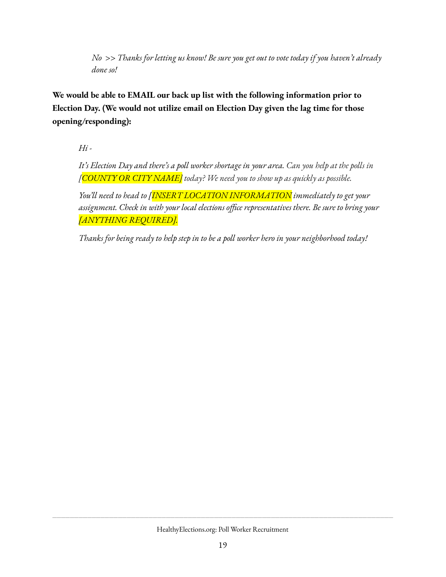*No >> Thanks for letting us know! Be sure you get out to vote today if you haven't already done so!*

**We would be able to EMAIL our back up list with the following information prior to Election Day. (We would not utilize email on Election Day given the lag time for those opening/responding):**

*Hi -*

It's Election Day and there's a poll worker shortage in your area. Can you help at the polls in *[COUNTY OR CITY NAME] today? We need you to show up as quickly as possible.*

*You'll need to head to [INSERT LOCATION INFORMATION immediately to get your assignment. Check in with your local elections office representatives there. Be sure to bring your [ANYTHING REQUIRED].*

*Thanks for being ready to help step in to be a poll worker hero in your neighborhood today!*